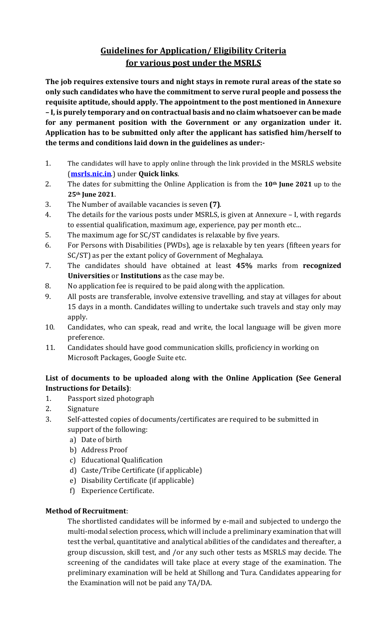# **Guidelines for Application/ Eligibility Criteria for various post under the MSRLS**

**The job requires extensive tours and night stays in remote rural areas of the state so only such candidates who have the commitment to serve rural people and possess the requisite aptitude, should apply. The appointment to the post mentioned in Annexure – I, is purely temporary and on contractual basis and no claim whatsoever can be made for any permanent position with the Government or any organization under it. Application has to be submitted only after the applicant has satisfied him/herself to the terms and conditions laid down in the guidelines as under:-**

- 1. The candidates will have to apply online through the link provided in the MSRLS website (**[msrls.nic.in](file:///C:/Users/Hp/Downloads/msrls.nic.in)**.) under **Quick links**.
- 2. The dates for submitting the Online Application is from the **10th June 2021** up to the **25th June 2021**.
- 3. The Number of available vacancies is seven **(7)**.
- 4. The details for the various posts under MSRLS, is given at Annexure I, with regards to essential qualification, maximum age, experience, pay per month etc...
- 5. The maximum age for SC/ST candidates is relaxable by five years.
- 6. For Persons with Disabilities (PWDs), age is relaxable by ten years (fifteen years for SC/ST) as per the extant policy of Government of Meghalaya.
- 7. The candidates should have obtained at least **45%** marks from **recognized Universities** or **Institutions** as the case may be.
- 8. No application fee is required to be paid along with the application.
- 9. All posts are transferable, involve extensive travelling, and stay at villages for about 15 days in a month. Candidates willing to undertake such travels and stay only may apply.
- 10. Candidates, who can speak, read and write, the local language will be given more preference.
- 11. Candidates should have good communication skills, proficiency in working on Microsoft Packages, Google Suite etc.

# **List of documents to be uploaded along with the Online Application (See General Instructions for Details)**:

- 1. Passport sized photograph
- 2. Signature
- 3. Self-attested copies of documents/certificates are required to be submitted in support of the following:
	- a) Date of birth
	- b) Address Proof
	- c) Educational Qualification
	- d) Caste/Tribe Certificate (if applicable)
	- e) Disability Certificate (if applicable)
	- f) Experience Certificate.

## **Method of Recruitment**:

The shortlisted candidates will be informed by e-mail and subjected to undergo the multi-modal selection process, which will include a preliminary examination that will test the verbal, quantitative and analytical abilities of the candidates and thereafter, a group discussion, skill test, and /or any such other tests as MSRLS may decide. The screening of the candidates will take place at every stage of the examination. The preliminary examination will be held at Shillong and Tura. Candidates appearing for the Examination will not be paid any TA/DA.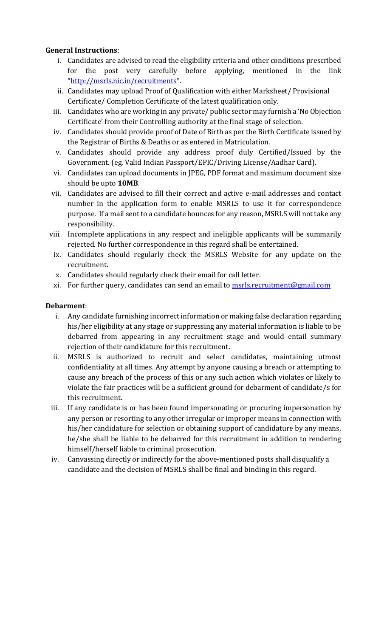### **General Instructions**:

- i. Candidates are advised to read the eligibility criteria and other conditions prescribed for the post very carefully before applying, mentioned in the link "<http://msrls.nic.in/recruitments>".
- ii. Candidates may upload Proof of Qualification with either Marksheet/ Provisional Certificate/ Completion Certificate of the latest qualification only.
- iii. Candidates who are working in any private/ public sector may furnish a 'No Objection Certificate' from their Controlling authority at the final stage of selection.
- iv. Candidates should provide proof of Date of Birth as per the Birth Certificate issued by the Registrar of Births & Deaths or as entered in Matriculation.
- v. Candidates should provide any address proof duly Certified/Issued by the Government. (eg. Valid Indian Passport/EPIC/Driving License/Aadhar Card).
- vi. Candidates can upload documents in JPEG, PDF format and maximum document size should be upto **10MB**.
- vii. Candidates are advised to fill their correct and active e-mail addresses and contact number in the application form to enable MSRLS to use it for correspondence purpose. If a mail sent to a candidate bounces for any reason, MSRLS will not take any responsibility.
- viii. Incomplete applications in any respect and ineligible applicants will be summarily rejected. No further correspondence in this regard shall be entertained.
- ix. Candidates should regularly check the MSRLS Website for any update on the recruitment.
- x. Candidates should regularly check their email for call letter.
- xi. For further query, candidates can send an email to<msrls.recruitment@gmail.com>

#### **Debarment**:

- i. Any candidate furnishing incorrect information or making false declaration regarding his/her eligibility at any stage or suppressing any material information is liable to be debarred from appearing in any recruitment stage and would entail summary rejection of their candidature for this recruitment.
- ii. MSRLS is authorized to recruit and select candidates, maintaining utmost confidentiality at all times. Any attempt by anyone causing a breach or attempting to cause any breach of the process of this or any such action which violates or likely to violate the fair practices will be a sufficient ground for debarment of candidate/s for this recruitment.
- iii. If any candidate is or has been found impersonating or procuring impersonation by any person or resorting to any other irregular or improper means in connection with his/her candidature for selection or obtaining support of candidature by any means, he/she shall be liable to be debarred for this recruitment in addition to rendering himself/herself liable to criminal prosecution.
- iv. Canvassing directly or indirectly for the above-mentioned posts shall disqualify a candidate and the decision of MSRLS shall be final and binding in this regard.